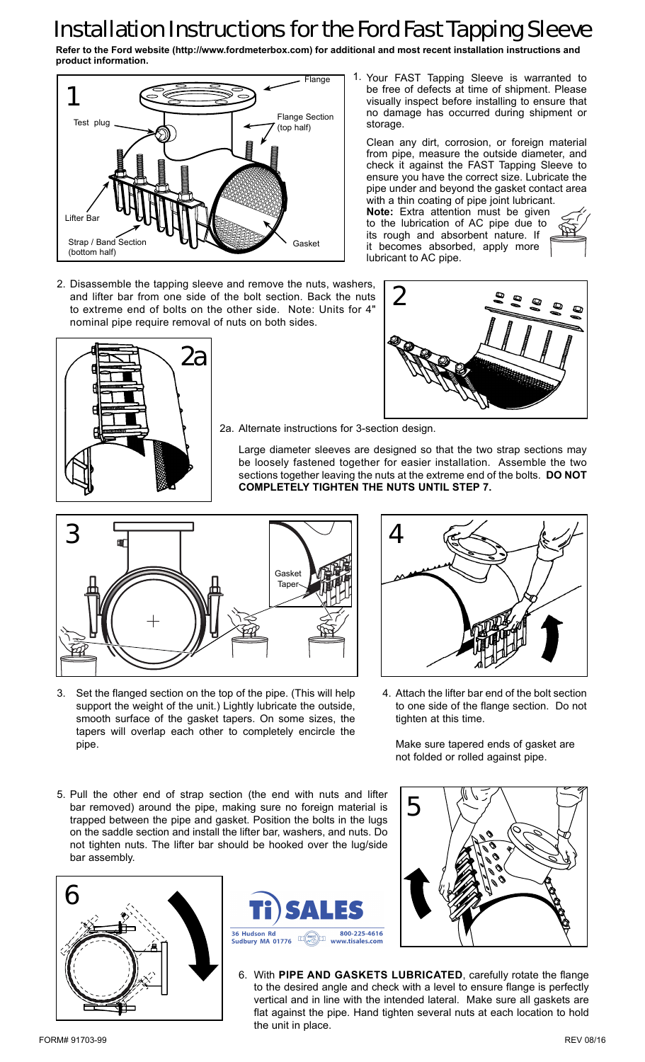## Installation Instructions for the Ford Fast Tapping Sleeve

**Refer to the Ford website (http://www.fordmeterbox.com) for additional and most recent installation instructions and product information.**

storage.



2. Disassemble the tapping sleeve and remove the nuts, washers, and lifter bar from one side of the bolt section. Back the nuts to extreme end of bolts on the other side. Note: Units for 4" nominal pipe require removal of nuts on both sides.





be free of defects at time of shipment. Please visually inspect before installing to ensure that no damage has occurred during shipment or

Clean any dirt, corrosion, or foreign material from pipe, measure the outside diameter, and check it against the FAST Tapping Sleeve to ensure you have the correct size. Lubricate the pipe under and beyond the gasket contact area with a thin coating of pipe joint lubricant. **Note:** Extra attention must be given to the lubrication of AC pipe due to its rough and absorbent nature. If it becomes absorbed, apply more

2a. Alternate instructions for 3-section design.

Large diameter sleeves are designed so that the two strap sections may be loosely fastened together for easier installation. Assemble the two sections together leaving the nuts at the extreme end of the bolts. **DO NOT COMPLETELY TIGHTEN THE NUTS UNTIL STEP 7.**

lubricant to AC pipe.



Set the flanged section on the top of the pipe. (This will help 3. Attach the lifter bar end of the bolt section support the weight of the unit.) Lightly lubricate the outside, smooth surface of the gasket tapers. On some sizes, the tapers will overlap each other to completely encircle the pipe.



to one side of the flange section. Do not tighten at this time. 4. Attach the lifter bar end of the bolt section

Make sure tapered ends of gasket are not folded or rolled against pipe.

5. Pull the other end of strap section (the end with nuts and lifter bar removed) around the pipe, making sure no foreign material is trapped between the pipe and gasket. Position the bolts in the lugs on the saddle section and install the lifter bar, washers, and nuts. Do not tighten nuts. The lifter bar should be hooked over the lug/side bar assembly.







With **PIPE AND GASKETS LUBRICATED**, carefully rotate the flange 6. to the desired angle and check with a level to ensure flange is perfectly vertical and in line with the intended lateral. Make sure all gaskets are flat against the pipe. Hand tighten several nuts at each location to hold the unit in place.